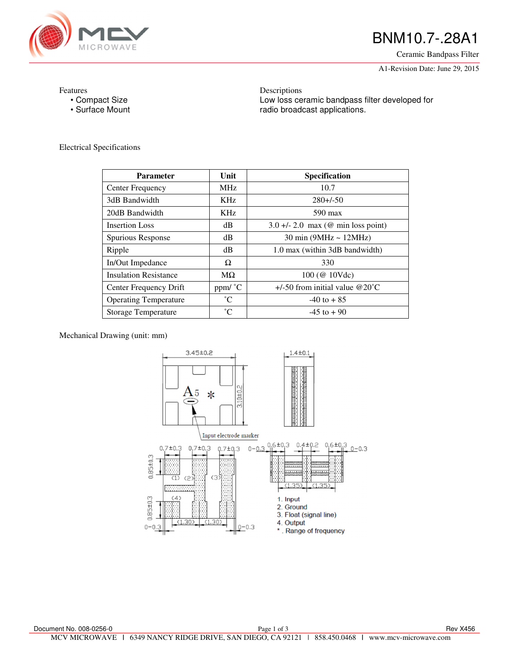

# BNM10.7-.28A1

Ceramic Bandpass Filter

A1-Revision Date: June 29, 2015

Features

- Compact Size
- Surface Mount

Descriptions Low loss ceramic bandpass filter developed for radio broadcast applications.

Electrical Specifications

| <b>Parameter</b>             | Unit        | <b>Specification</b>                 |
|------------------------------|-------------|--------------------------------------|
| Center Frequency             | <b>MHz</b>  | 10.7                                 |
| 3dB Bandwidth                | KHz.        | $280 + 50$                           |
| 20dB Bandwidth               | KHz.        | $590 \text{ max}$                    |
| <b>Insertion Loss</b>        | dB          | $3.0 +/- 2.0$ max (@ min loss point) |
| Spurious Response            | dB          | $30 \text{ min}$ (9MHz ~ 12MHz)      |
| Ripple                       | dB          | 1.0 max (within 3dB bandwidth)       |
| In/Out Impedance             | Ω           | 330                                  |
| <b>Insulation Resistance</b> | $M\Omega$   | 100 (@ 10Vdc)                        |
| Center Frequency Drift       | ppm/ °C     | $+/-50$ from initial value @20°C     |
| <b>Operating Temperature</b> | $^{\circ}C$ | $-40$ to $+85$                       |
| <b>Storage Temperature</b>   | $^{\circ}C$ | $-45$ to $+90$                       |

Mechanical Drawing (unit: mm)

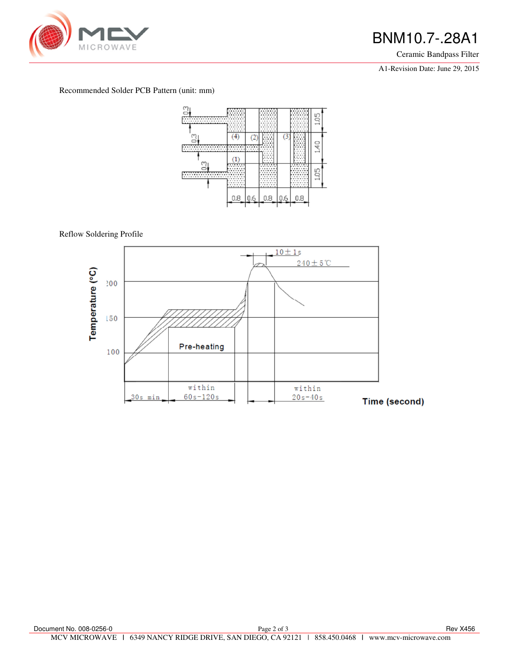

## BNM10.7-.28A1

Ceramic Bandpass Filter

A1-Revision Date: June 29, 2015

### Recommended Solder PCB Pattern (unit: mm)



Reflow Soldering Profile